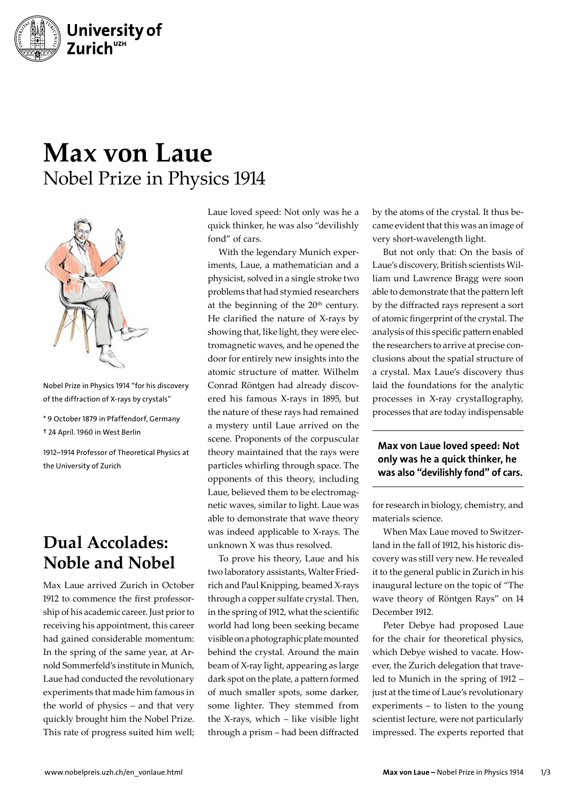

## **Max von Laue** Nobel Prize in Physics 1914



Nobel Prize in Physics 1914 "for his discovery of the diffraction of X-rays by crystals"

\* 9 October 1879 in Pfaffendorf, Germany † 24 April. 1960 in West Berlin

1912–1914 Professor of Theoretical Physics at the University of Zurich

## **Dual Accolades: Noble and Nobel**

Max Laue arrived Zurich in October 1912 to commence the first professorship of his academic career. Just prior to receiving his appointment, this career had gained considerable momentum: In the spring of the same year, at Arnold Sommerfeld's institute in Munich, Laue had conducted the revolutionary experiments that made him famous in the world of physics – and that very quickly brought him the Nobel Prize. This rate of progress suited him well;

Laue loved speed: Not only was he a quick thinker, he was also "devilishly fond" of cars.

With the legendary Munich experiments, Laue, a mathematician and a physicist, solved in a single stroke two problems that had stymied researchers at the beginning of the  $20<sup>th</sup>$  century. He clarified the nature of X-rays by showing that, like light, they were electromagnetic waves, and he opened the door for entirely new insights into the atomic structure of matter. Wilhelm Conrad Röntgen had already discovered his famous X-rays in 1895, but the nature of these rays had remained a mystery until Laue arrived on the scene. Proponents of the corpuscular theory maintained that the rays were particles whirling through space. The opponents of this theory, including Laue, believed them to be electromagnetic waves, similar to light. Laue was able to demonstrate that wave theory was indeed applicable to X-rays. The unknown X was thus resolved.

To prove his theory, Laue and his two laboratory assistants, Walter Friedrich and Paul Knipping, beamed X-rays through a copper sulfate crystal. Then, in the spring of 1912, what the scientific world had long been seeking became visible on a photographic plate mounted behind the crystal. Around the main beam of X-ray light, appearing as large dark spot on the plate, a pattern formed of much smaller spots, some darker, some lighter. They stemmed from the X-rays, which – like visible light through a prism – had been diffracted

by the atoms of the crystal. It thus became evident that this was an image of very short-wavelength light.

But not only that: On the basis of Laue's discovery, British scientists William und Lawrence Bragg were soon able to demonstrate that the pattern left by the diffracted rays represent a sort of atomic fingerprint of the crystal. The analysis of this specific pattern enabled the researchers to arrive at precise conclusions about the spatial structure of a crystal. Max Laue's discovery thus laid the foundations for the analytic processes in X-ray crystallography, processes that are today indispensable

## Max von Laue loved speed: Not only was he a quick thinker, he was also "devilishly fond" of cars.

for research in biology, chemistry, and materials science.

When Max Laue moved to Switzerland in the fall of 1912, his historic discovery was still very new. He revealed it to the general public in Zurich in his inaugural lecture on the topic of "The wave theory of Röntgen Rays" on 14 December 1912.

Peter Debye had proposed Laue for the chair for theoretical physics, which Debye wished to vacate. However, the Zurich delegation that traveled to Munich in the spring of 1912 – just at the time of Laue's revolutionary experiments – to listen to the young scientist lecture, were not particularly impressed. The experts reported that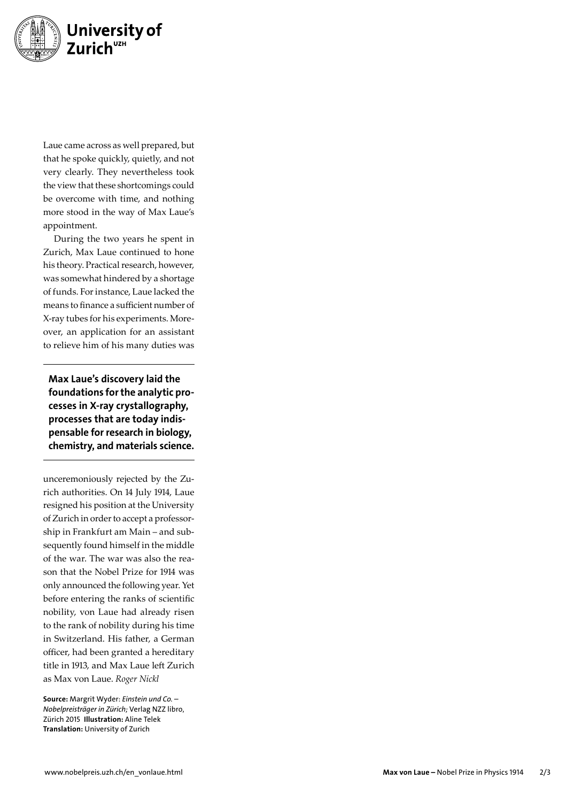

Laue came across as well prepared, but that he spoke quickly, quietly, and not very clearly. They nevertheless took the view that these shortcomings could be overcome with time, and nothing more stood in the way of Max Laue's appointment.

During the two years he spent in Zurich, Max Laue continued to hone his theory. Practical research, however, was somewhat hindered by a shortage of funds. For instance, Laue lacked the means to finance a sufficient number of X-ray tubes for his experiments. More over, an application for an assistant to relieve him of his many duties was

Max Laue's discovery laid the foundations for the analytic processes in X-ray crystallography, processes that are today indispensable for research in biology, chemistry, and materials science.

unceremoniously rejected by the Zu rich authorities. On 14 July 1914, Laue resigned his position at the University of Zurich in order to accept a professor ship in Frankfurt am Main – and sub sequently found himself in the middle of the war. The war was also the rea son that the Nobel Prize for 1914 was only announced the following year. Yet before entering the ranks of scientific nobility, von Laue had already risen to the rank of nobility during his time in Switzerland. His father, a German officer, had been granted a hereditary title in 1913, and Max Laue left Zurich as Max von Laue. *Roger Nickl*

Source: Margrit Wyder: *Einstein und Co. – Nobelpreisträger in Zürich;* Verlag NZZ libro, Zürich 2015 Illustration: Aline Telek Translation: University of Zurich